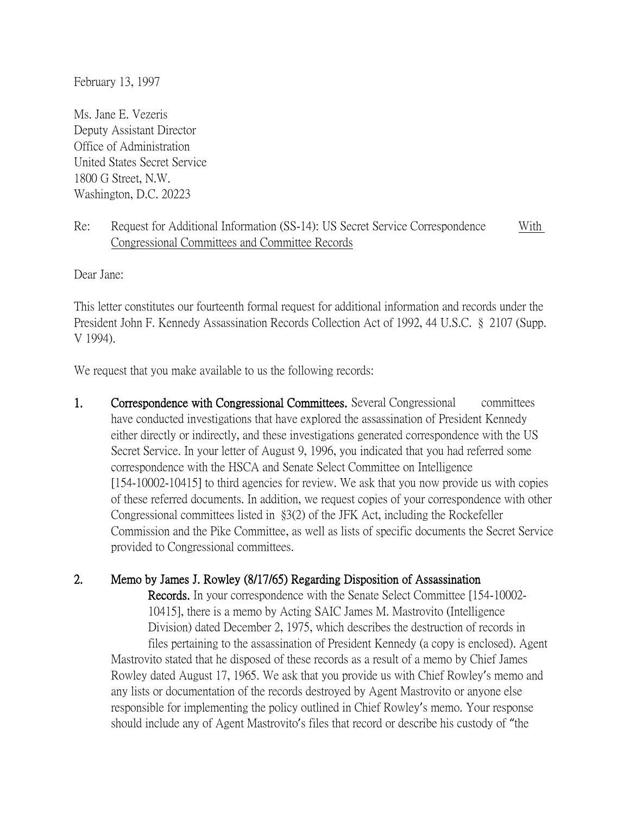February 13, 1997

Ms. Jane E. Vezeris Deputy Assistant Director Office of Administration United States Secret Service 1800 G Street, N.W. Washington, D.C. 20223

## Re: Request for Additional Information (SS-14): US Secret Service Correspondence With Congressional Committees and Committee Records

Dear Jane:

This letter constitutes our fourteenth formal request for additional information and records under the President John F. Kennedy Assassination Records Collection Act of 1992, 44 U.S.C. § 2107 (Supp. V 1994).

We request that you make available to us the following records:

1. Correspondence with Congressional Committees. Several Congressional committees have conducted investigations that have explored the assassination of President Kennedy either directly or indirectly, and these investigations generated correspondence with the US Secret Service. In your letter of August 9, 1996, you indicated that you had referred some correspondence with the HSCA and Senate Select Committee on Intelligence [154-10002-10415] to third agencies for review. We ask that you now provide us with copies of these referred documents. In addition, we request copies of your correspondence with other Congressional committees listed in §3(2) of the JFK Act, including the Rockefeller Commission and the Pike Committee, as well as lists of specific documents the Secret Service provided to Congressional committees.

## 2. Memo by James J. Rowley (8/17/65) Regarding Disposition of Assassination

 Records. In your correspondence with the Senate Select Committee [154-10002- 10415], there is a memo by Acting SAIC James M. Mastrovito (Intelligence Division) dated December 2, 1975, which describes the destruction of records in

files pertaining to the assassination of President Kennedy (a copy is enclosed). Agent Mastrovito stated that he disposed of these records as a result of a memo by Chief James Rowley dated August 17, 1965. We ask that you provide us with Chief Rowley's memo and any lists or documentation of the records destroyed by Agent Mastrovito or anyone else responsible for implementing the policy outlined in Chief Rowley's memo. Your response should include any of Agent Mastrovito's files that record or describe his custody of "the